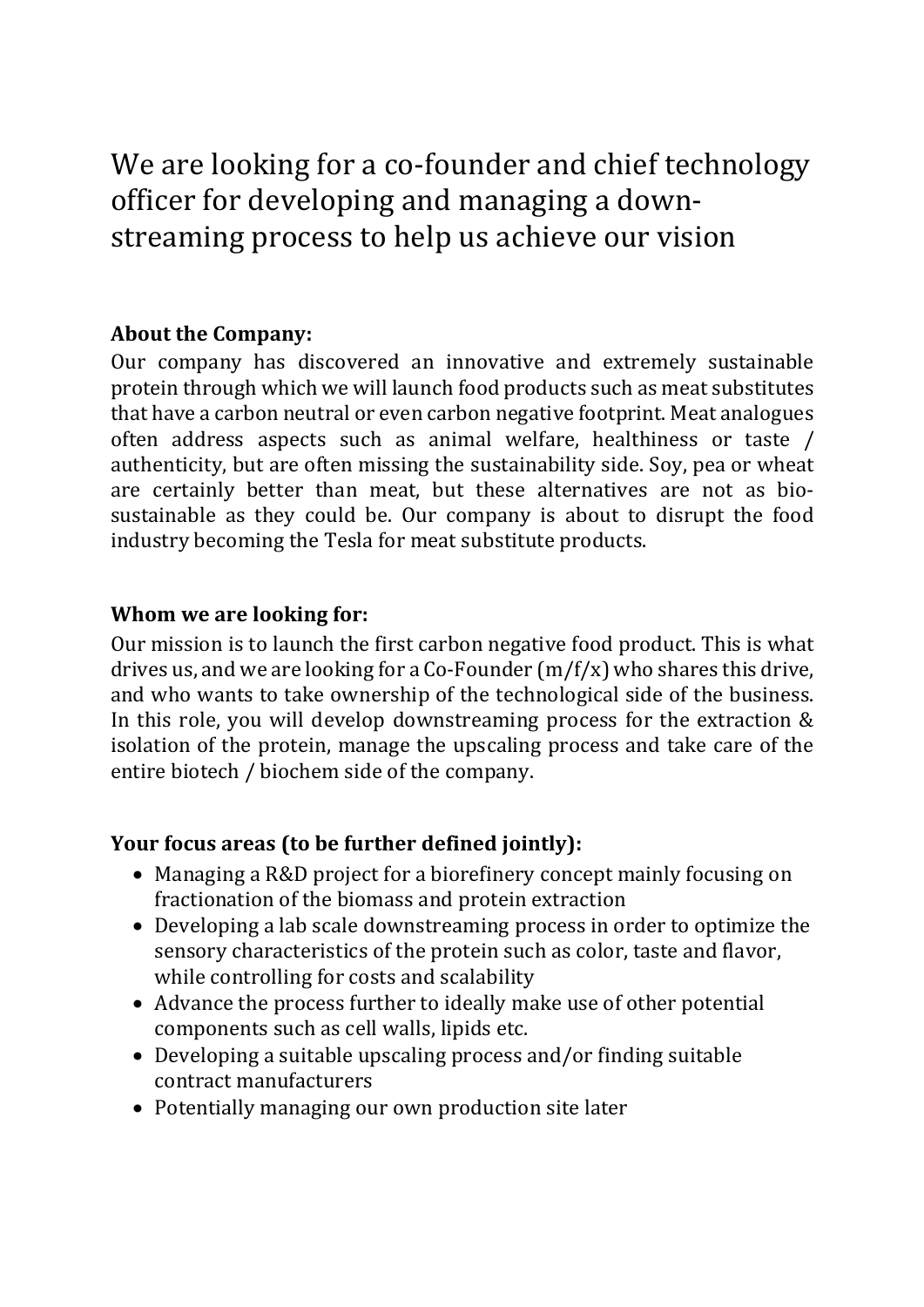We are looking for a co-founder and chief technology officer for developing and managing a downstreaming process to help us achieve our vision

## **About the Company:**

Our company has discovered an innovative and extremely sustainable protein through which we will launch food products such as meat substitutes that have a carbon neutral or even carbon negative footprint. Meat analogues often address aspects such as animal welfare, healthiness or taste / authenticity, but are often missing the sustainability side. Soy, pea or wheat are certainly better than meat, but these alternatives are not as biosustainable as they could be. Our company is about to disrupt the food industry becoming the Tesla for meat substitute products.

#### **Whom we are looking for:**

Our mission is to launch the first carbon negative food product. This is what drives us, and we are looking for a Co-Founder  $(m/f/x)$  who shares this drive, and who wants to take ownership of the technological side of the business. In this role, you will develop downstreaming process for the extraction  $&$ isolation of the protein, manage the upscaling process and take care of the entire biotech / biochem side of the company.

### **Your focus areas (to be further defined jointly):**

- Managing a R&D project for a biorefinery concept mainly focusing on fractionation of the biomass and protein extraction
- Developing a lab scale downstreaming process in order to optimize the sensory characteristics of the protein such as color, taste and flavor, while controlling for costs and scalability
- Advance the process further to ideally make use of other potential components such as cell walls, lipids etc.
- Developing a suitable upscaling process and/or finding suitable contract manufacturers
- Potentially managing our own production site later